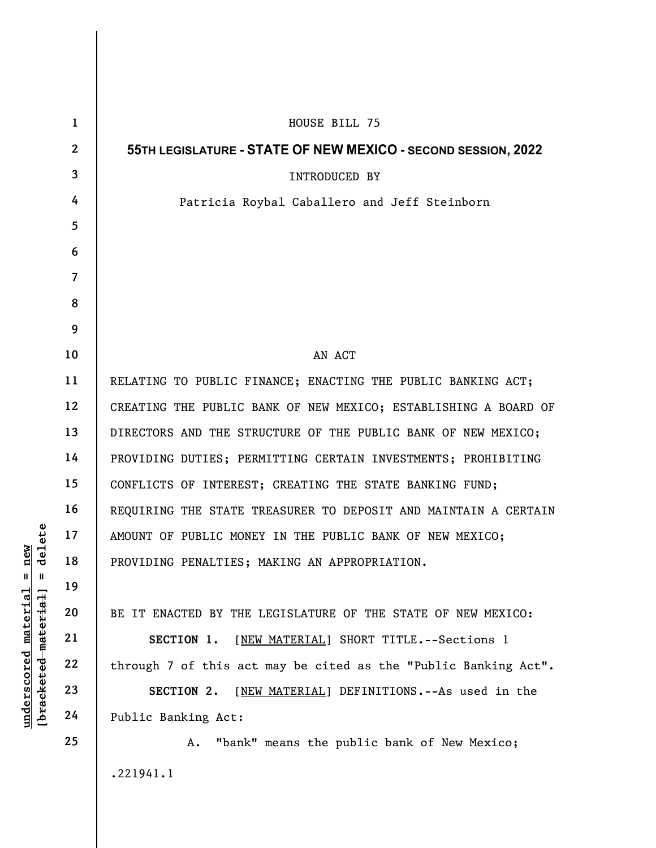|                                                         | $\mathbf{1}$    | HOUSE BILL 75                                                   |
|---------------------------------------------------------|-----------------|-----------------------------------------------------------------|
| i new<br>delete<br>$\mathsf{I}$<br>Ш                    | $\mathbf{2}$    | 55TH LEGISLATURE - STATE OF NEW MEXICO - SECOND SESSION, 2022   |
|                                                         | $\mathbf{3}$    | INTRODUCED BY                                                   |
|                                                         | 4               | Patricia Roybal Caballero and Jeff Steinborn                    |
|                                                         | $5\overline{)}$ |                                                                 |
|                                                         | 6               |                                                                 |
|                                                         | $\overline{7}$  |                                                                 |
|                                                         | 8               |                                                                 |
|                                                         | 9               |                                                                 |
|                                                         | 10              | AN ACT                                                          |
|                                                         | 11              | RELATING TO PUBLIC FINANCE; ENACTING THE PUBLIC BANKING ACT;    |
|                                                         | 12              | CREATING THE PUBLIC BANK OF NEW MEXICO; ESTABLISHING A BOARD OF |
|                                                         | 13              | DIRECTORS AND THE STRUCTURE OF THE PUBLIC BANK OF NEW MEXICO;   |
|                                                         | 14              | PROVIDING DUTIES; PERMITTING CERTAIN INVESTMENTS; PROHIBITING   |
|                                                         | 15              | CONFLICTS OF INTEREST; CREATING THE STATE BANKING FUND;         |
|                                                         | 16              | REQUIRING THE STATE TREASURER TO DEPOSIT AND MAINTAIN A CERTAIN |
|                                                         | 17              | AMOUNT OF PUBLIC MONEY IN THE PUBLIC BANK OF NEW MEXICO;        |
|                                                         | 18              | PROVIDING PENALTIES; MAKING AN APPROPRIATION.                   |
|                                                         | 19              |                                                                 |
| <u>material</u>                                         | 20              | BE IT ENACTED BY THE LEGISLATURE OF THE STATE OF NEW MEXICO:    |
|                                                         | 21              | [NEW MATERIAL] SHORT TITLE. -- Sections 1<br>SECTION 1.         |
| [ <del>bracketed material</del> ]<br><u>underscored</u> | 22              | through 7 of this act may be cited as the "Public Banking Act". |
|                                                         | 23              | [NEW MATERIAL] DEFINITIONS. -- As used in the<br>SECTION 2.     |
|                                                         | 24              | Public Banking Act:                                             |
|                                                         | 25              | "bank" means the public bank of New Mexico;<br>Α.               |
|                                                         |                 | .221941.1                                                       |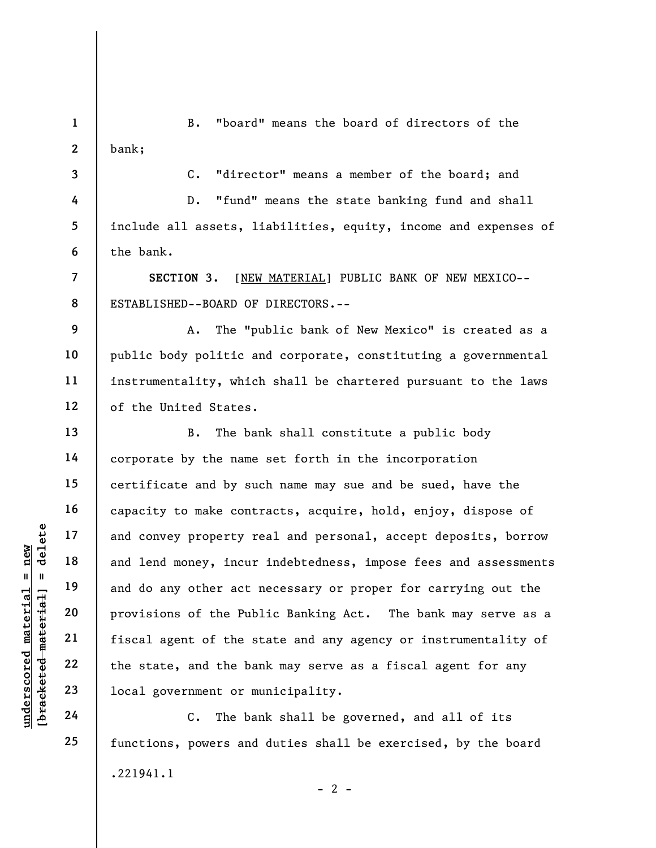1 2 B. "board" means the board of directors of the bank;

3 4

5

6

7

8

9

10

11

12

13

14

15

16

17

18

19

20

21

22

23

24

25

C. "director" means a member of the board; and

D. "fund" means the state banking fund and shall include all assets, liabilities, equity, income and expenses of the bank.

SECTION 3. [NEW MATERIAL] PUBLIC BANK OF NEW MEXICO-- ESTABLISHED--BOARD OF DIRECTORS.--

A. The "public bank of New Mexico" is created as a public body politic and corporate, constituting a governmental instrumentality, which shall be chartered pursuant to the laws of the United States.

UNDERETRIES THE THE 18<br>
UNDERETRIES TO THE 19<br>
UNDERETRIES 20<br>
UNDERETRIES 22<br>
UNDERETRIES 22<br>
UNDERETRIES 22<br>
UNDERETRIES 22<br>
UNDERETRIES 22<br>
UNDER 22<br>
UNDER 22<br>
UNDER 22<br>
UNDER 22<br>
UNDER 22<br>
UNDER 22<br>
UNDER 22<br>
UNDER B. The bank shall constitute a public body corporate by the name set forth in the incorporation certificate and by such name may sue and be sued, have the capacity to make contracts, acquire, hold, enjoy, dispose of and convey property real and personal, accept deposits, borrow and lend money, incur indebtedness, impose fees and assessments and do any other act necessary or proper for carrying out the provisions of the Public Banking Act. The bank may serve as a fiscal agent of the state and any agency or instrumentality of the state, and the bank may serve as a fiscal agent for any local government or municipality.

C. The bank shall be governed, and all of its functions, powers and duties shall be exercised, by the board .221941.1  $- 2 -$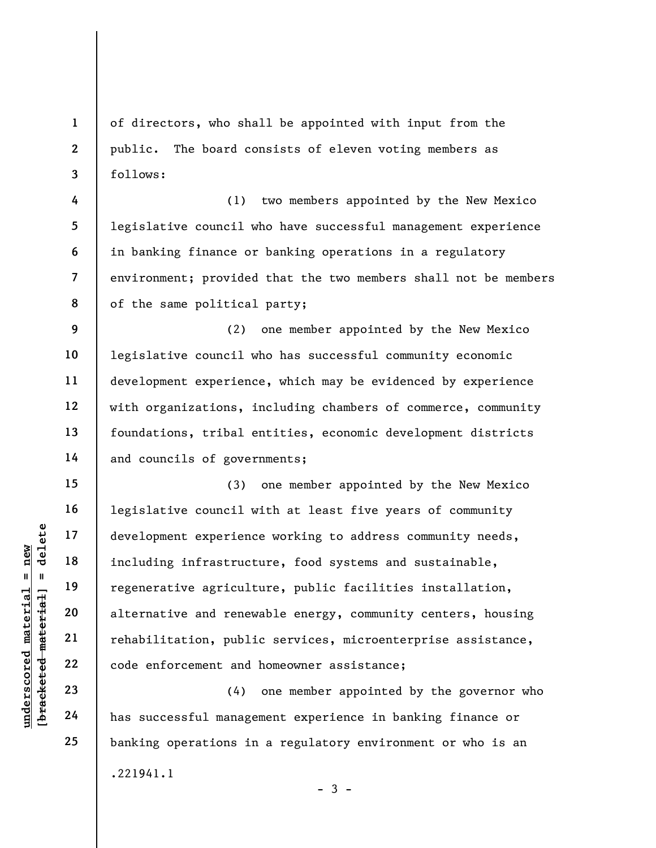of directors, who shall be appointed with input from the public. The board consists of eleven voting members as follows:

(1) two members appointed by the New Mexico legislative council who have successful management experience in banking finance or banking operations in a regulatory environment; provided that the two members shall not be members of the same political party;

(2) one member appointed by the New Mexico legislative council who has successful community economic development experience, which may be evidenced by experience with organizations, including chambers of commerce, community foundations, tribal entities, economic development districts and councils of governments;

underscored material = new [bracketed material] = delete (3) one member appointed by the New Mexico legislative council with at least five years of community development experience working to address community needs, including infrastructure, food systems and sustainable, regenerative agriculture, public facilities installation, alternative and renewable energy, community centers, housing rehabilitation, public services, microenterprise assistance, code enforcement and homeowner assistance;

(4) one member appointed by the governor who has successful management experience in banking finance or banking operations in a regulatory environment or who is an .221941.1  $-3 -$ 

1

2

3

4

5

6

7

8

9

10

11

12

13

14

15

16

17

18

19

20

21

22

23

24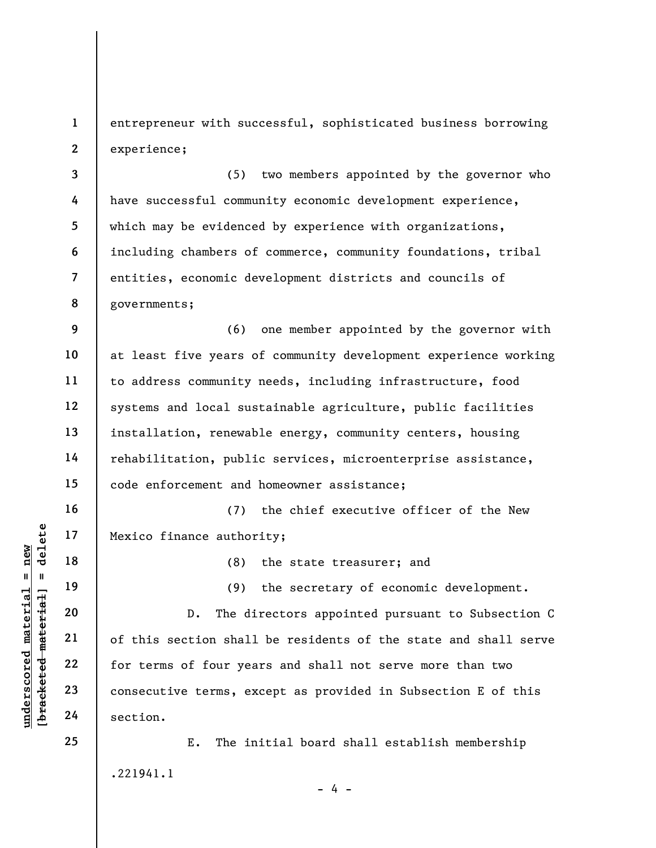1 2 entrepreneur with successful, sophisticated business borrowing experience;

3 4 5 6 7 8 (5) two members appointed by the governor who have successful community economic development experience, which may be evidenced by experience with organizations, including chambers of commerce, community foundations, tribal entities, economic development districts and councils of governments;

9 10 11 12 13 14 15 (6) one member appointed by the governor with at least five years of community development experience working to address community needs, including infrastructure, food systems and local sustainable agriculture, public facilities installation, renewable energy, community centers, housing rehabilitation, public services, microenterprise assistance, code enforcement and homeowner assistance;

(7) the chief executive officer of the New Mexico finance authority;

(8) the state treasurer; and

(9) the secretary of economic development.

underscored material = new [bracketed material] = delete D. The directors appointed pursuant to Subsection C of this section shall be residents of the state and shall serve for terms of four years and shall not serve more than two consecutive terms, except as provided in Subsection E of this section.

> E. The initial board shall establish membership .221941.1  $- 4 -$

16

17

18

19

20

21

22

23

24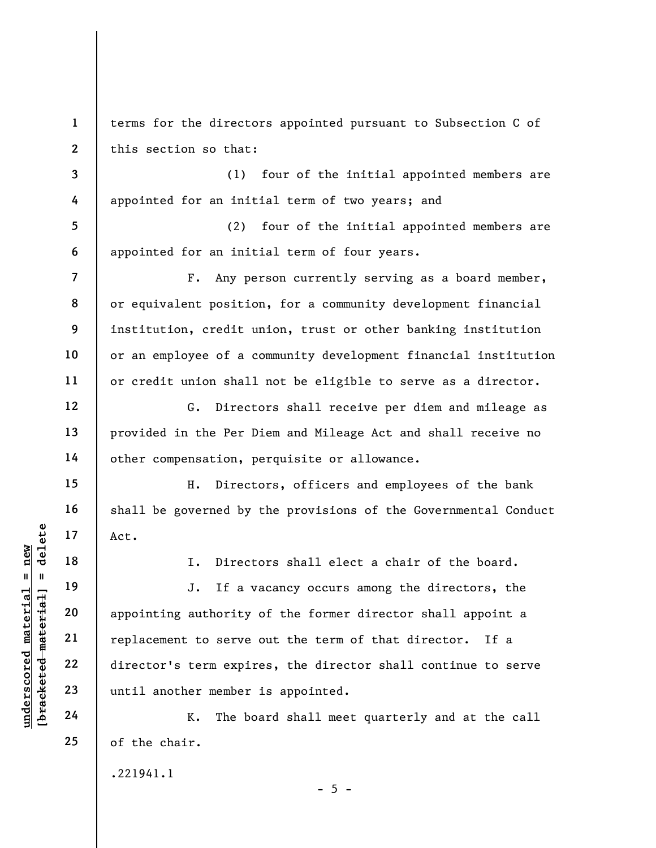2 terms for the directors appointed pursuant to Subsection C of this section so that:

(1) four of the initial appointed members are appointed for an initial term of two years; and

5 6 (2) four of the initial appointed members are appointed for an initial term of four years.

F. Any person currently serving as a board member, or equivalent position, for a community development financial institution, credit union, trust or other banking institution or an employee of a community development financial institution or credit union shall not be eligible to serve as a director.

G. Directors shall receive per diem and mileage as provided in the Per Diem and Mileage Act and shall receive no other compensation, perquisite or allowance.

H. Directors, officers and employees of the bank shall be governed by the provisions of the Governmental Conduct Act.

1

3

4

7

8

9

10

11

12

13

14

15

16

17

18

19

20

21

22

23

24

25

I. Directors shall elect a chair of the board.

underscored material = new [bracketed material] = delete J. If a vacancy occurs among the directors, the appointing authority of the former director shall appoint a replacement to serve out the term of that director. If a director's term expires, the director shall continue to serve until another member is appointed.

K. The board shall meet quarterly and at the call of the chair.

.221941.1

 $- 5 -$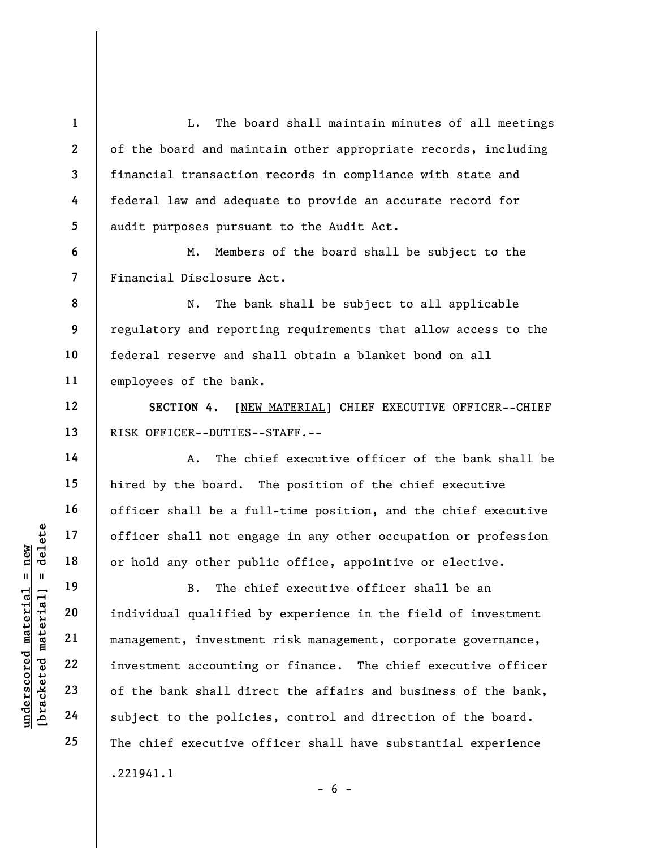L. The board shall maintain minutes of all meetings of the board and maintain other appropriate records, including financial transaction records in compliance with state and federal law and adequate to provide an accurate record for audit purposes pursuant to the Audit Act.

M. Members of the board shall be subject to the Financial Disclosure Act.

8 9 10 11 N. The bank shall be subject to all applicable regulatory and reporting requirements that allow access to the federal reserve and shall obtain a blanket bond on all employees of the bank.

SECTION 4. [NEW MATERIAL] CHIEF EXECUTIVE OFFICER--CHIEF RISK OFFICER--DUTIES--STAFF.--

A. The chief executive officer of the bank shall be hired by the board. The position of the chief executive officer shall be a full-time position, and the chief executive officer shall not engage in any other occupation or profession or hold any other public office, appointive or elective.

understaat of ficer shall not eng<br>  $\begin{array}{c|c|c|c} \hline \text{u} & \text{u} & \text{u} & \text{u} \\ \hline \text{u} & \text{u} & \text{u} & \text{u} \\ \hline \text{u} & \text{u} & \text{u} & \text{u} \\ \hline \text{u} & \text{u} & \text{u} & \text{u} \\ \hline \text{u} & \text{u} & \text{u} & \text{u} \\ \hline \text{u} & \text{u} & \text{u} & \text{u} \\ \hline \text{u} & \text$ B. The chief executive officer shall be an individual qualified by experience in the field of investment management, investment risk management, corporate governance, investment accounting or finance. The chief executive officer of the bank shall direct the affairs and business of the bank, subject to the policies, control and direction of the board. The chief executive officer shall have substantial experience .221941.1

 $- 6 -$ 

1

2

3

4

5

6

7

12

13

14

15

16

17

18

19

20

21

22

23

24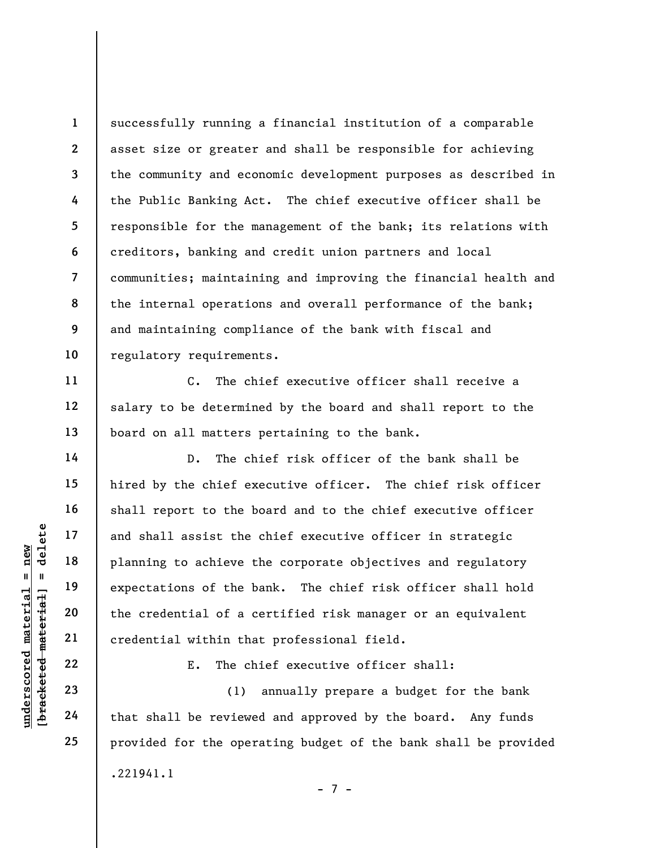8 successfully running a financial institution of a comparable asset size or greater and shall be responsible for achieving the community and economic development purposes as described in the Public Banking Act. The chief executive officer shall be responsible for the management of the bank; its relations with creditors, banking and credit union partners and local communities; maintaining and improving the financial health and the internal operations and overall performance of the bank; and maintaining compliance of the bank with fiscal and regulatory requirements.

C. The chief executive officer shall receive a salary to be determined by the board and shall report to the board on all matters pertaining to the bank.

understand material and shall assist the<br>
material of a complement of a complement of a complement and the credential of a complement<br>
with the credential of a complement and the credential within the<br>
show that shall be r D. The chief risk officer of the bank shall be hired by the chief executive officer. The chief risk officer shall report to the board and to the chief executive officer and shall assist the chief executive officer in strategic planning to achieve the corporate objectives and regulatory expectations of the bank. The chief risk officer shall hold the credential of a certified risk manager or an equivalent credential within that professional field.

E. The chief executive officer shall:

(1) annually prepare a budget for the bank that shall be reviewed and approved by the board. Any funds provided for the operating budget of the bank shall be provided .221941.1

1

2

3

4

5

6

7

9

10

11

12

13

14

15

16

17

18

19

20

21

22

23

24

25

- 7 -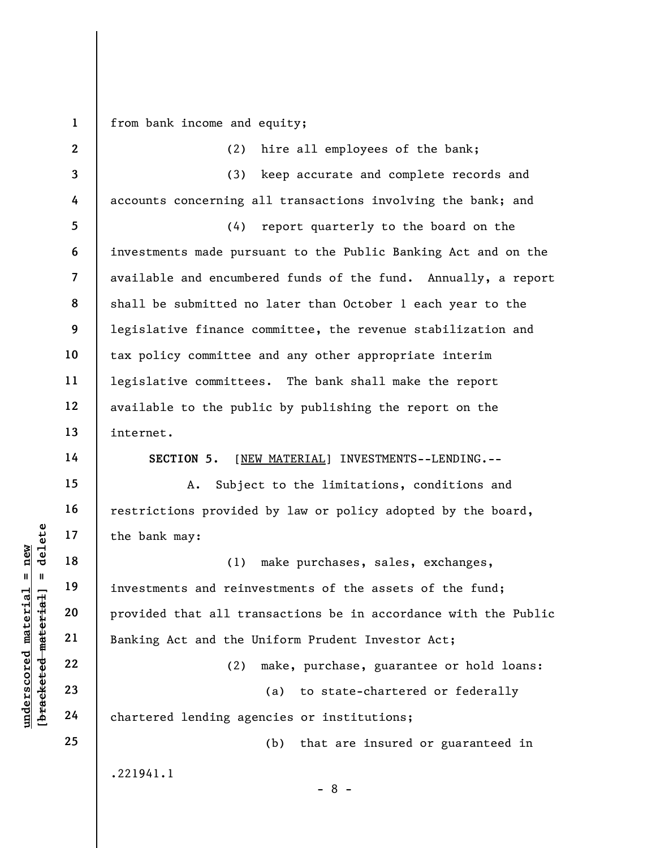1

 $\frac{\text{undersecond material} = \text{new}}{\text{beac detected-matterial}}$  = delete

from bank income and equity;

| $\mathbf{2}$             | hire all employees of the bank;<br>(2)                          |
|--------------------------|-----------------------------------------------------------------|
| 3                        | (3) keep accurate and complete records and                      |
| 4                        | accounts concerning all transactions involving the bank; and    |
| 5                        | report quarterly to the board on the<br>(4)                     |
| 6                        | investments made pursuant to the Public Banking Act and on the  |
| $\overline{\phantom{a}}$ | available and encumbered funds of the fund. Annually, a report  |
| 8                        | shall be submitted no later than October 1 each year to the     |
| 9                        | legislative finance committee, the revenue stabilization and    |
| 10                       | tax policy committee and any other appropriate interim          |
| 11                       | legislative committees. The bank shall make the report          |
| 12                       | available to the public by publishing the report on the         |
| 13                       | internet.                                                       |
| 14                       | SECTION 5.<br>[NEW MATERIAL] INVESTMENTS--LENDING.--            |
| 15                       | Subject to the limitations, conditions and<br>Α.                |
| 16                       | restrictions provided by law or policy adopted by the board,    |
| 17                       | the bank may:                                                   |
| 18                       | make purchases, sales, exchanges,<br>(1)                        |
| 19                       | investments and reinvestments of the assets of the fund;        |
| 20                       | provided that all transactions be in accordance with the Public |
| 21                       | Banking Act and the Uniform Prudent Investor Act;               |
| 22                       | make, purchase, guarantee or hold loans:<br>(2)                 |
| 23                       | to state-chartered or federally<br>(a)                          |
| 24                       | chartered lending agencies or institutions;                     |
| 25                       | (b)<br>that are insured or guaranteed in                        |
|                          | .221941.1                                                       |

- 8 -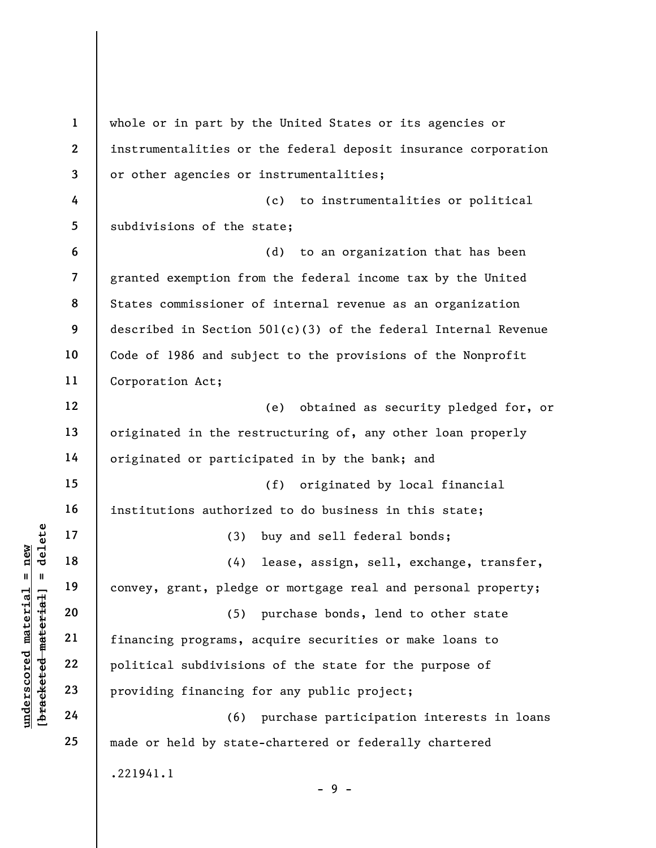underscored material material material material entity of the same of the same of the same of the same of the same of the same of the same of the same of the same of the same of the same of the same of the same of the same 1 2 3 4 5 6 7 8 9 10 11 12 13 14 15 16 17 18 19 20 21 22 23 24 25 whole or in part by the United States or its agencies or instrumentalities or the federal deposit insurance corporation or other agencies or instrumentalities; (c) to instrumentalities or political subdivisions of the state; (d) to an organization that has been granted exemption from the federal income tax by the United States commissioner of internal revenue as an organization described in Section 501(c)(3) of the federal Internal Revenue Code of 1986 and subject to the provisions of the Nonprofit Corporation Act; (e) obtained as security pledged for, or originated in the restructuring of, any other loan properly originated or participated in by the bank; and (f) originated by local financial institutions authorized to do business in this state; (3) buy and sell federal bonds; (4) lease, assign, sell, exchange, transfer, convey, grant, pledge or mortgage real and personal property; (5) purchase bonds, lend to other state financing programs, acquire securities or make loans to political subdivisions of the state for the purpose of providing financing for any public project; (6) purchase participation interests in loans made or held by state-chartered or federally chartered .221941.1  $-9 -$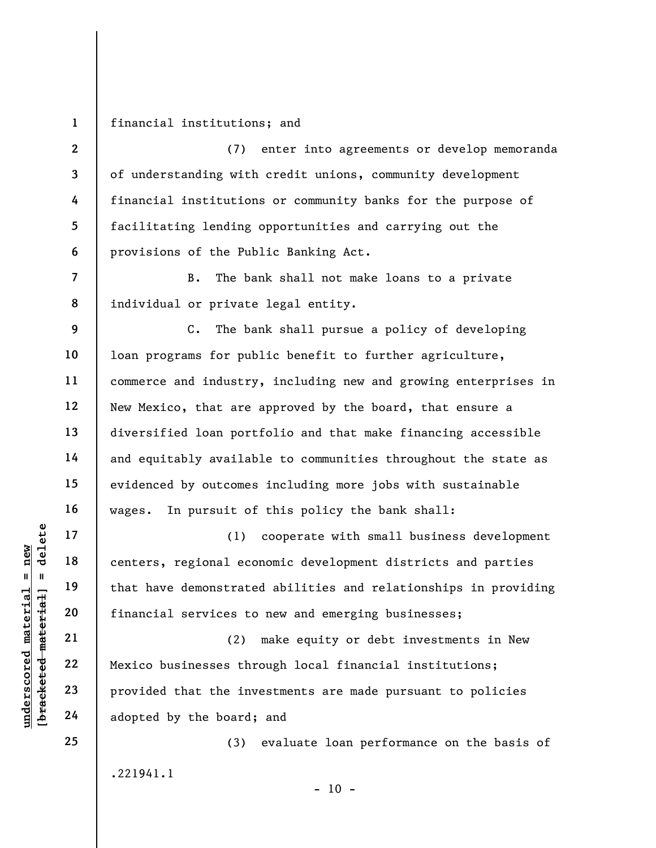financial institutions; and

1

2

3

4

5

6

7

8

(7) enter into agreements or develop memoranda of understanding with credit unions, community development financial institutions or community banks for the purpose of facilitating lending opportunities and carrying out the provisions of the Public Banking Act.

B. The bank shall not make loans to a private individual or private legal entity.

9 10 11 12 13 14 15 16 C. The bank shall pursue a policy of developing loan programs for public benefit to further agriculture, commerce and industry, including new and growing enterprises in New Mexico, that are approved by the board, that ensure a diversified loan portfolio and that make financing accessible and equitably available to communities throughout the state as evidenced by outcomes including more jobs with sustainable wages. In pursuit of this policy the bank shall:

understand material services to<br>
we have demonstrate<br>
we have demonstrate<br>
we have demonstrate<br>
21<br>
22<br>
23<br>
Provided that the inv<br>
24<br>
adopted by the board; (1) cooperate with small business development centers, regional economic development districts and parties that have demonstrated abilities and relationships in providing financial services to new and emerging businesses;

(2) make equity or debt investments in New Mexico businesses through local financial institutions; provided that the investments are made pursuant to policies adopted by the board; and

(3) evaluate loan performance on the basis of .221941.1  $- 10 -$ 

25

17

18

19

20

21

22

23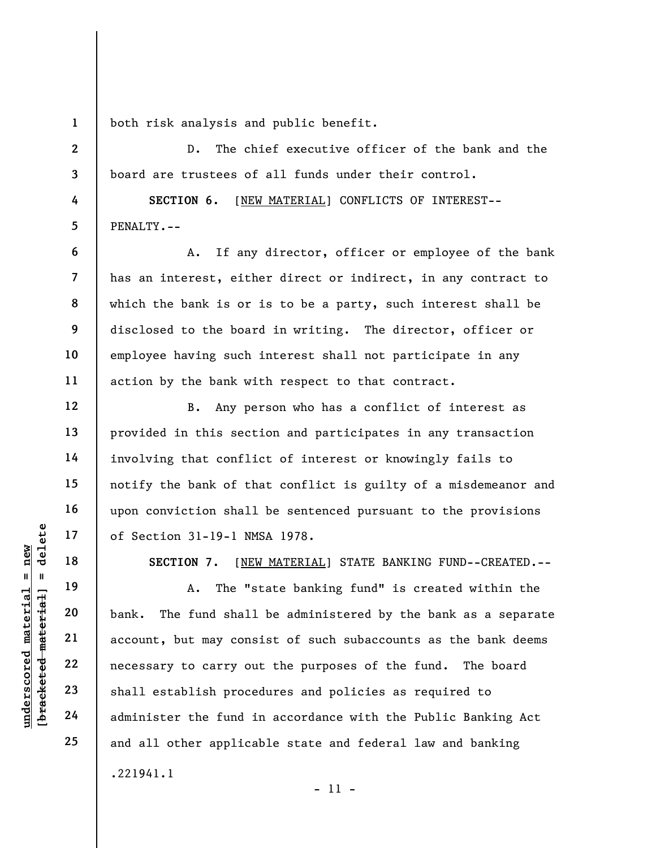1 both risk analysis and public benefit.

D. The chief executive officer of the bank and the board are trustees of all funds under their control.

SECTION 6. [NEW MATERIAL] CONFLICTS OF INTEREST-- PENALTY.--

A. If any director, officer or employee of the bank has an interest, either direct or indirect, in any contract to which the bank is or is to be a party, such interest shall be disclosed to the board in writing. The director, officer or employee having such interest shall not participate in any action by the bank with respect to that contract.

B. Any person who has a conflict of interest as provided in this section and participates in any transaction involving that conflict of interest or knowingly fails to notify the bank of that conflict is guilty of a misdemeanor and upon conviction shall be sentenced pursuant to the provisions of Section 31-19-1 NMSA 1978.

SECTION 7. [NEW MATERIAL] STATE BANKING FUND--CREATED.--

UN DERECTION 7. [NET OF SECTION 7. [NET OF SECTION 7. [NET OF SECTION 7. [NET OF ORDER MATER MATER MATER MATER MATER MATER 22<br>
UN DERECTION 7. [NET OF ORDER MATER MATER MATER MATER MATER MATER MATER 22<br>
UNIVERSELY 22<br>
UNIV A. The "state banking fund" is created within the bank. The fund shall be administered by the bank as a separate account, but may consist of such subaccounts as the bank deems necessary to carry out the purposes of the fund. The board shall establish procedures and policies as required to administer the fund in accordance with the Public Banking Act and all other applicable state and federal law and banking .221941.1 - 11 -

2

3

4

5

6

7

8

9

10

11

12

13

14

15

16

17

18

19

20

21

22

23

24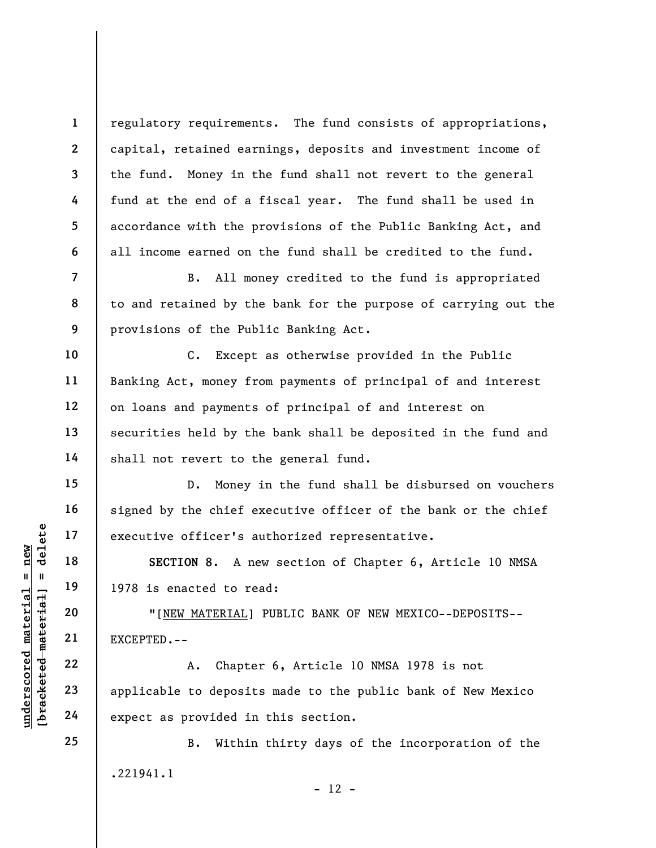regulatory requirements. The fund consists of appropriations, capital, retained earnings, deposits and investment income of the fund. Money in the fund shall not revert to the general fund at the end of a fiscal year. The fund shall be used in accordance with the provisions of the Public Banking Act, and all income earned on the fund shall be credited to the fund.

B. All money credited to the fund is appropriated to and retained by the bank for the purpose of carrying out the provisions of the Public Banking Act.

C. Except as otherwise provided in the Public Banking Act, money from payments of principal of and interest on loans and payments of principal of and interest on securities held by the bank shall be deposited in the fund and shall not revert to the general fund.

D. Money in the fund shall be disbursed on vouchers signed by the chief executive officer of the bank or the chief executive officer's authorized representative.

SECTION 8. A new section of Chapter 6, Article 10 NMSA 1978 is enacted to read:

"[NEW MATERIAL] PUBLIC BANK OF NEW MEXICO--DEPOSITS-- EXCEPTED.--

UNEW MATERIAL]<br>
19 18 IP 1978 is enacted to re<br>
1978 is enacted to re<br>
1978 is enacted to re<br>
20 ILEN MATERIAL]<br>
21 EXCEPTED.--<br>
22 A. Chapte<br>
23 applicable to deposit<br>
24 expect as provided in A. Chapter 6, Article 10 NMSA 1978 is not applicable to deposits made to the public bank of New Mexico expect as provided in this section.

> B. Within thirty days of the incorporation of the .221941.1  $- 12 -$

1

2

3

4

5

6

7

8

9

10

11

12

13

14

15

16

17

18

19

20

21

22

23

24